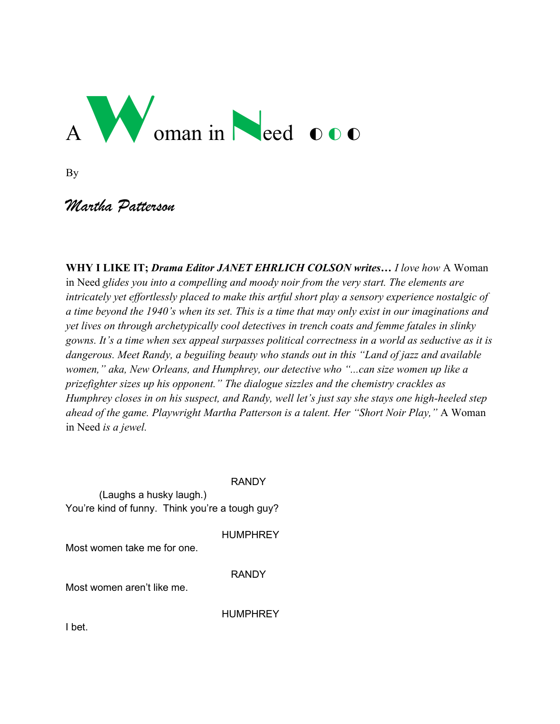# Woman in Need 000

By

# *Martha Patterson*

**WHY I LIKE IT;** *Drama Editor JANET EHRLICH COLSON writes… I love how* A Woman in Need *glides you into a compelling and moody noir from the very start. The elements are intricately yet effortlessly placed to make this artful short play a sensory experience nostalgic of a time beyond the 1940's when its set. This is a time that may only exist in our imaginations and yet lives on through archetypically cool detectives in trench coats and femme fatales in slinky gowns. It's a time when sex appeal surpasses political correctness in a world as seductive as it is dangerous. Meet Randy, a beguiling beauty who stands out in this "Land of jazz and available women," aka, New Orleans, and Humphrey, our detective who "...can size women up like a prizefighter sizes up his opponent." The dialogue sizzles and the chemistry crackles as Humphrey closes in on his suspect, and Randy, well let's just say she stays one high-heeled step ahead of the game. Playwright Martha Patterson is a talent. Her "Short Noir Play,"* A Woman in Need *is a jewel.* 

RANDY

(Laughs a husky laugh.) You're kind of funny. Think you're a tough guy?

Most women take me for one.

RANDY

**HUMPHREY** 

Most women aren't like me.

**HUMPHREY** 

I bet.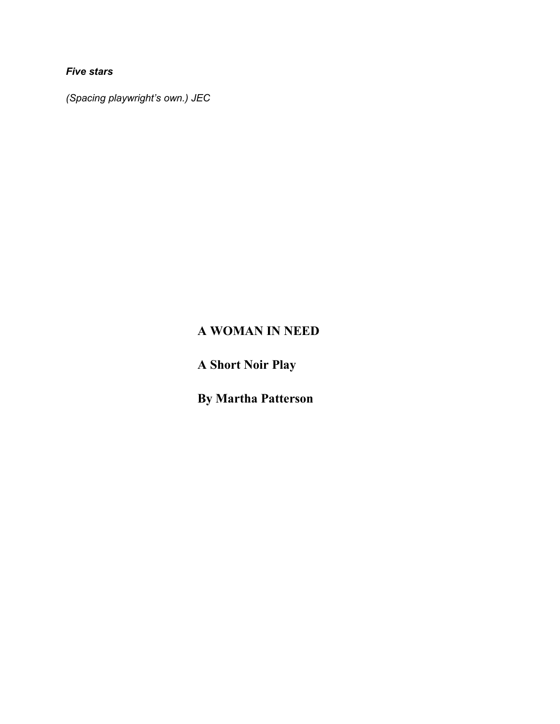*Five stars*

*(Spacing playwright's own.) JEC*

## **A WOMAN IN NEED**

**A Short Noir Play**

**By Martha Patterson**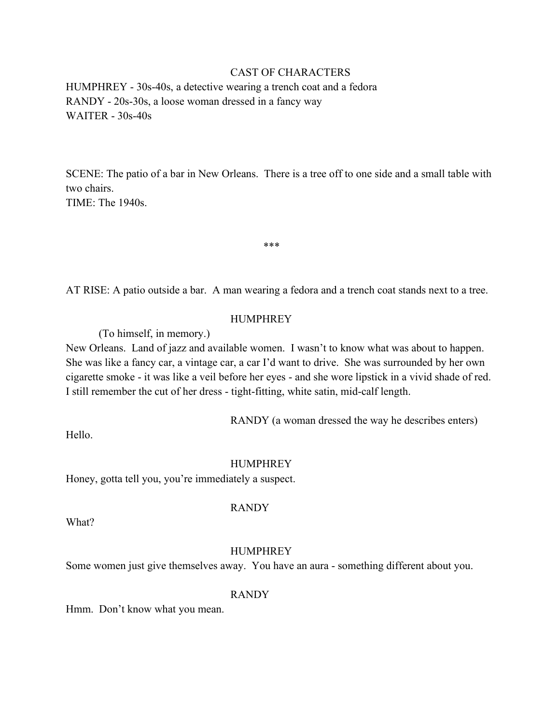## CAST OF CHARACTERS

HUMPHREY - 30s-40s, a detective wearing a trench coat and a fedora RANDY - 20s-30s, a loose woman dressed in a fancy way WAITER - 30s-40s

SCENE: The patio of a bar in New Orleans. There is a tree off to one side and a small table with two chairs.

TIME: The 1940s.

AT RISE: A patio outside a bar. A man wearing a fedora and a trench coat stands next to a tree.

\*\*\*

## HUMPHREY

(To himself, in memory.)

New Orleans. Land of jazz and available women. I wasn't to know what was about to happen. She was like a fancy car, a vintage car, a car I'd want to drive. She was surrounded by her own cigarette smoke - it was like a veil before her eyes - and she wore lipstick in a vivid shade of red. I still remember the cut of her dress - tight-fitting, white satin, mid-calf length.

RANDY (a woman dressed the way he describes enters)

Hello.

#### **HUMPHREY**

Honey, gotta tell you, you're immediately a suspect.

## RANDY

What?

## HUMPHREY

Some women just give themselves away. You have an aura - something different about you.

## RANDY

Hmm. Don't know what you mean.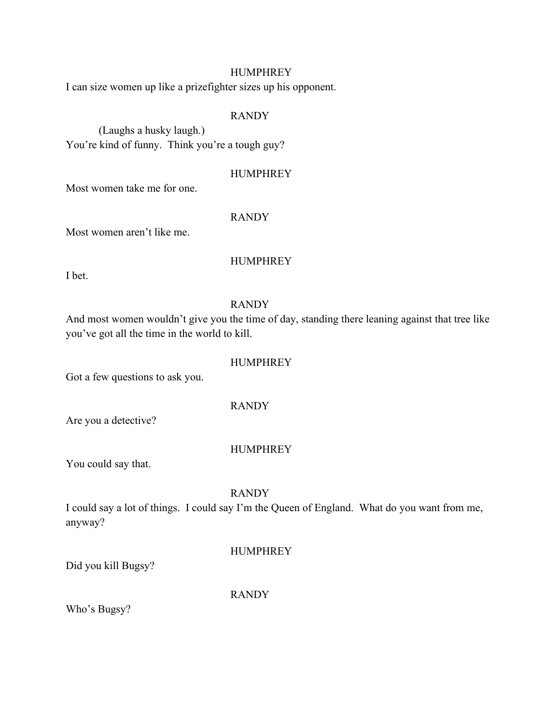## HUMPHREY

I can size women up like a prizefighter sizes up his opponent.

## RANDY

(Laughs a husky laugh.) You're kind of funny. Think you're a tough guy?

## **HUMPHREY**

Most women take me for one.

## RANDY

Most women aren't like me.

## **HUMPHREY**

I bet.

## RANDY

And most women wouldn't give you the time of day, standing there leaning against that tree like you've got all the time in the world to kill.

## HUMPHREY

Got a few questions to ask you.

RANDY

Are you a detective?

## HUMPHREY

You could say that.

## RANDY

I could say a lot of things. I could say I'm the Queen of England. What do you want from me, anyway?

## **HUMPHREY**

Did you kill Bugsy?

RANDY

Who's Bugsy?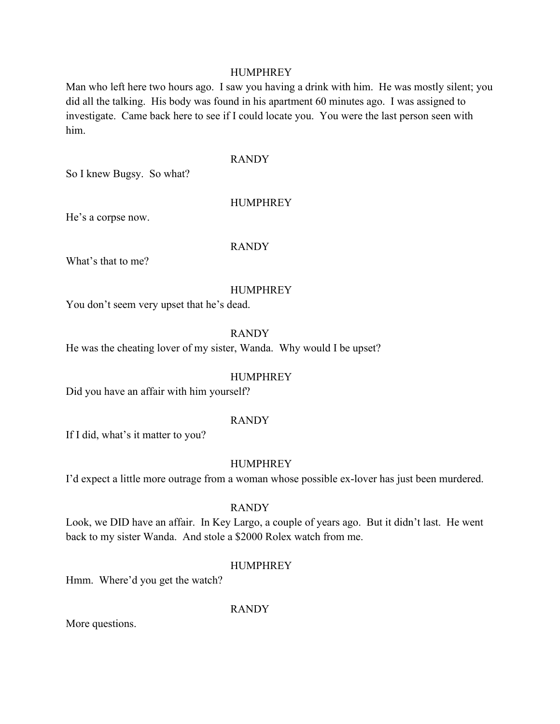## HUMPHREY

Man who left here two hours ago. I saw you having a drink with him. He was mostly silent; you did all the talking. His body was found in his apartment 60 minutes ago. I was assigned to investigate. Came back here to see if I could locate you. You were the last person seen with him.

## RANDY

So I knew Bugsy. So what?

## **HUMPHREY**

He's a corpse now.

#### RANDY

What's that to me?

#### HUMPHREY

You don't seem very upset that he's dead.

## RANDY

He was the cheating lover of my sister, Wanda. Why would I be upset?

## HUMPHREY

Did you have an affair with him yourself?

#### RANDY

If I did, what's it matter to you?

#### HUMPHREY

I'd expect a little more outrage from a woman whose possible ex-lover has just been murdered.

#### RANDY

Look, we DID have an affair. In Key Largo, a couple of years ago. But it didn't last. He went back to my sister Wanda. And stole a \$2000 Rolex watch from me.

#### **HUMPHREY**

Hmm. Where'd you get the watch?

RANDY

More questions.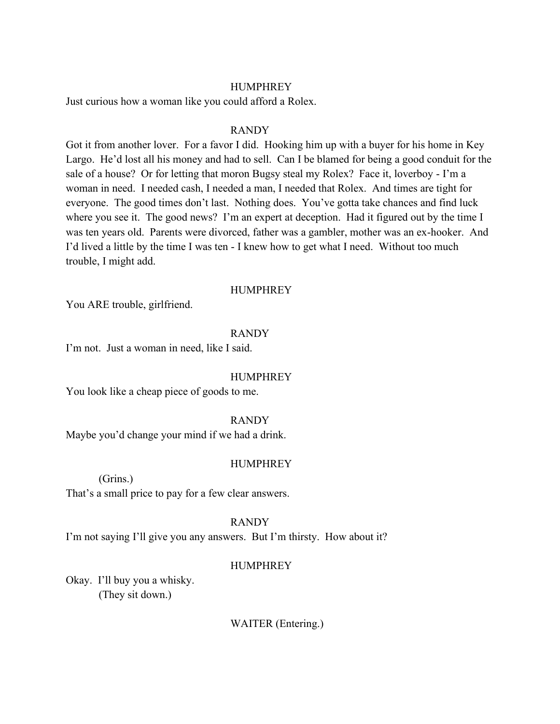## HUMPHREY

Just curious how a woman like you could afford a Rolex.

## RANDY

Got it from another lover. For a favor I did. Hooking him up with a buyer for his home in Key Largo. He'd lost all his money and had to sell. Can I be blamed for being a good conduit for the sale of a house? Or for letting that moron Bugsy steal my Rolex? Face it, loverboy - I'm a woman in need. I needed cash, I needed a man, I needed that Rolex. And times are tight for everyone. The good times don't last. Nothing does. You've gotta take chances and find luck where you see it. The good news? I'm an expert at deception. Had it figured out by the time I was ten years old. Parents were divorced, father was a gambler, mother was an ex-hooker. And I'd lived a little by the time I was ten - I knew how to get what I need. Without too much trouble, I might add.

#### HUMPHREY

You ARE trouble, girlfriend.

#### RANDY

I'm not. Just a woman in need, like I said.

#### HUMPHREY

You look like a cheap piece of goods to me.

#### RANDY

Maybe you'd change your mind if we had a drink.

#### HUMPHREY

(Grins.)

That's a small price to pay for a few clear answers.

#### RANDY

I'm not saying I'll give you any answers. But I'm thirsty. How about it?

#### **HUMPHREY**

Okay. I'll buy you a whisky. (They sit down.)

WAITER (Entering.)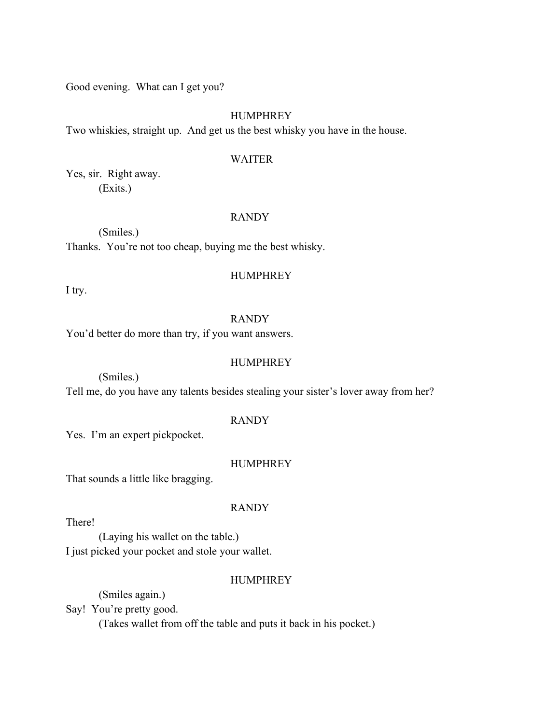Good evening. What can I get you?

## HUMPHREY

Two whiskies, straight up. And get us the best whisky you have in the house.

#### WAITER

Yes, sir. Right away. (Exits.)

## RANDY

(Smiles.) Thanks. You're not too cheap, buying me the best whisky.

I try.

## HUMPHREY

RANDY

You'd better do more than try, if you want answers.

## HUMPHREY

(Smiles.)

Tell me, do you have any talents besides stealing your sister's lover away from her?

#### RANDY

Yes. I'm an expert pickpocket.

## HUMPHREY

That sounds a little like bragging.

#### RANDY

There!

(Laying his wallet on the table.) I just picked your pocket and stole your wallet.

## HUMPHREY

(Smiles again.)

Say! You're pretty good.

(Takes wallet from off the table and puts it back in his pocket.)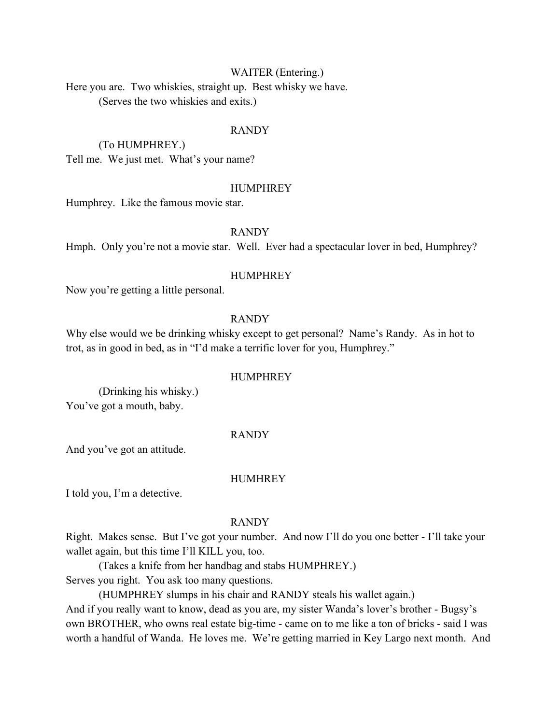## WAITER (Entering.)

Here you are. Two whiskies, straight up. Best whisky we have. (Serves the two whiskies and exits.)

#### RANDY

(To HUMPHREY.) Tell me. We just met. What's your name?

#### HUMPHREY

Humphrey. Like the famous movie star.

## RANDY

Hmph. Only you're not a movie star. Well. Ever had a spectacular lover in bed, Humphrey?

#### HUMPHREY

Now you're getting a little personal.

## RANDY

Why else would we be drinking whisky except to get personal? Name's Randy. As in hot to trot, as in good in bed, as in "I'd make a terrific lover for you, Humphrey."

#### HUMPHREY

(Drinking his whisky.) You've got a mouth, baby.

#### RANDY

And you've got an attitude.

#### **HUMHREY**

I told you, I'm a detective.

#### RANDY

Right. Makes sense. But I've got your number. And now I'll do you one better - I'll take your wallet again, but this time I'll KILL you, too.

(Takes a knife from her handbag and stabs HUMPHREY.) Serves you right. You ask too many questions.

(HUMPHREY slumps in his chair and RANDY steals his wallet again.) And if you really want to know, dead as you are, my sister Wanda's lover's brother - Bugsy's own BROTHER, who owns real estate big-time - came on to me like a ton of bricks - said I was worth a handful of Wanda. He loves me. We're getting married in Key Largo next month. And